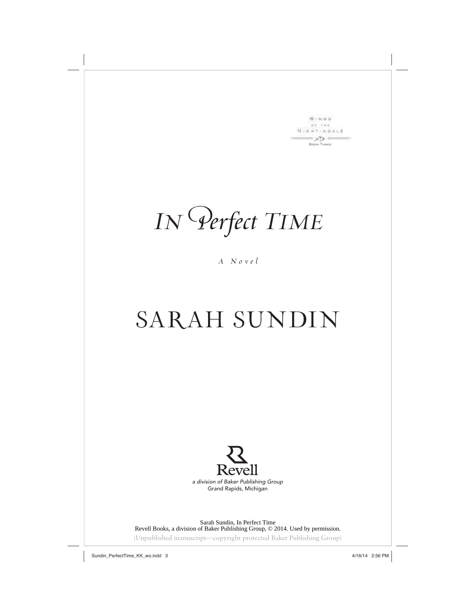$W$  value  $\equiv$ OF THE NIGHT-NOALE  $= \sqrt{2}$ Book Three

*I<sup>N</sup>* P*erfect TIME*

## *A N o v e l*

## SARAH SUNDIN

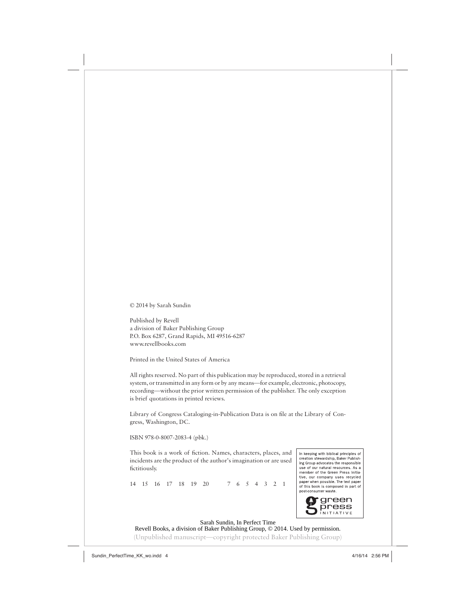© 2014 by Sarah Sundin

Published by Revell a division of Baker Publishing Group P.O. Box 6287, Grand Rapids, MI 49516-6287 www.revellbooks.com

Printed in the United States of America

All rights reserved. No part of this publication may be reproduced, stored in a retrieval system, or transmitted in any form or by any means—for example, electronic, photocopy, recording—without the prior written permission of the publisher. The only exception is brief quotations in printed reviews.

Library of Congress Cataloging-in-Publication Data is on file at the Library of Congress, Washington, DC.

ISBN 978-0-8007-2083-4 (pbk.)

This book is a work of fiction. Names, characters, places, and incidents are the product of the author's imagination or are used fictitiously.

14 15 16 17 18 19 20 7 6 5 4 3 2 1



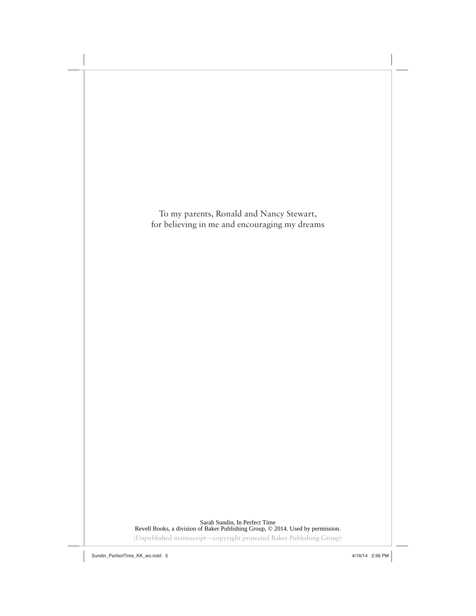To my parents, Ronald and Nancy Stewart, for believing in me and encouraging my dreams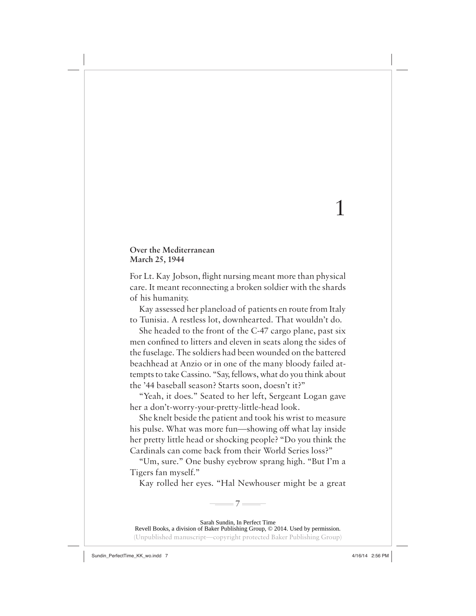1

## **Over the Mediterranean March 25, 1944**

For Lt. Kay Jobson, flight nursing meant more than physical care. It meant reconnecting a broken soldier with the shards of his humanity.

Kay assessed her planeload of patients en route from Italy to Tunisia. A restless lot, downhearted. That wouldn't do.

She headed to the front of the C-47 cargo plane, past six men confined to litters and eleven in seats along the sides of the fuselage. The soldiers had been wounded on the battered beachhead at Anzio or in one of the many bloody failed attempts to take Cassino. "Say, fellows, what do you think about the '44 baseball season? Starts soon, doesn't it?"

"Yeah, it does." Seated to her left, Sergeant Logan gave her a don't-worry-your-pretty-little-head look.

She knelt beside the patient and took his wrist to measure his pulse. What was more fun—showing off what lay inside her pretty little head or shocking people? "Do you think the Cardinals can come back from their World Series loss?"

"Um, sure." One bushy eyebrow sprang high. "But I'm a Tigers fan myself."

Kay rolled her eyes. "Hal Newhouser might be a great

 $=7=$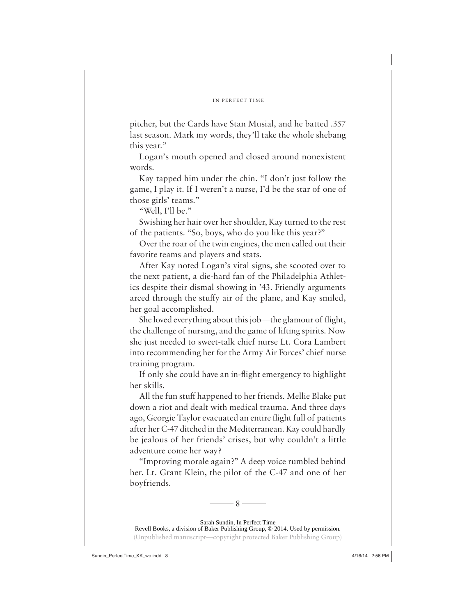pitcher, but the Cards have Stan Musial, and he batted .357 last season. Mark my words, they'll take the whole shebang this year."

Logan's mouth opened and closed around nonexistent words.

Kay tapped him under the chin. "I don't just follow the game, I play it. If I weren't a nurse, I'd be the star of one of those girls' teams."

"Well, I'll be."

Swishing her hair over her shoulder, Kay turned to the rest of the patients. "So, boys, who do you like this year?"

Over the roar of the twin engines, the men called out their favorite teams and players and stats.

After Kay noted Logan's vital signs, she scooted over to the next patient, a die-hard fan of the Philadelphia Athletics despite their dismal showing in '43. Friendly arguments arced through the stuffy air of the plane, and Kay smiled, her goal accomplished.

She loved everything about this job—the glamour of flight, the challenge of nursing, and the game of lifting spirits. Now she just needed to sweet-talk chief nurse Lt. Cora Lambert into recommending her for the Army Air Forces' chief nurse training program.

If only she could have an in-flight emergency to highlight her skills.

All the fun stuff happened to her friends. Mellie Blake put down a riot and dealt with medical trauma. And three days ago, Georgie Taylor evacuated an entire flight full of patients after her C-47 ditched in the Mediterranean. Kay could hardly be jealous of her friends' crises, but why couldn't a little adventure come her way?

"Improving morale again?" A deep voice rumbled behind her. Lt. Grant Klein, the pilot of the C-47 and one of her boyfriends.

 $-$ 8 $-$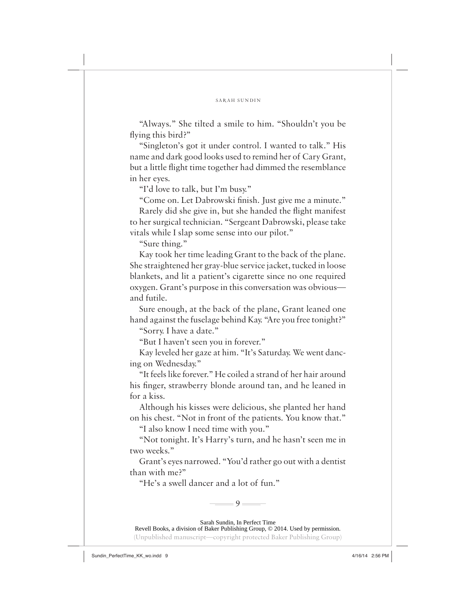"Always." She tilted a smile to him. "Shouldn't you be flying this bird?"

"Singleton's got it under control. I wanted to talk." His name and dark good looks used to remind her of Cary Grant, but a little flight time together had dimmed the resemblance in her eyes.

"I'd love to talk, but I'm busy."

"Come on. Let Dabrowski finish. Just give me a minute."

Rarely did she give in, but she handed the flight manifest to her surgical technician. "Sergeant Dabrowski, please take vitals while I slap some sense into our pilot."

"Sure thing."

Kay took her time leading Grant to the back of the plane. She straightened her gray-blue service jacket, tucked in loose blankets, and lit a patient's cigarette since no one required oxygen. Grant's purpose in this conversation was obvious and futile.

Sure enough, at the back of the plane, Grant leaned one hand against the fuselage behind Kay. "Are you free tonight?"

"Sorry. I have a date."

"But I haven't seen you in forever."

Kay leveled her gaze at him. "It's Saturday. We went dancing on Wednesday."

"It feels like forever." He coiled a strand of her hair around his finger, strawberry blonde around tan, and he leaned in for a kiss.

Although his kisses were delicious, she planted her hand on his chest. "Not in front of the patients. You know that."

"I also know I need time with you."

"Not tonight. It's Harry's turn, and he hasn't seen me in two weeks."

Grant's eyes narrowed. "You'd rather go out with a dentist than with me?"

"He's a swell dancer and a lot of fun."

 $= 9$   $=$ 

Sarah Sundin, In Perfect Time

Revell Books, a division of Baker Publishing Group, © 2014. Used by permission.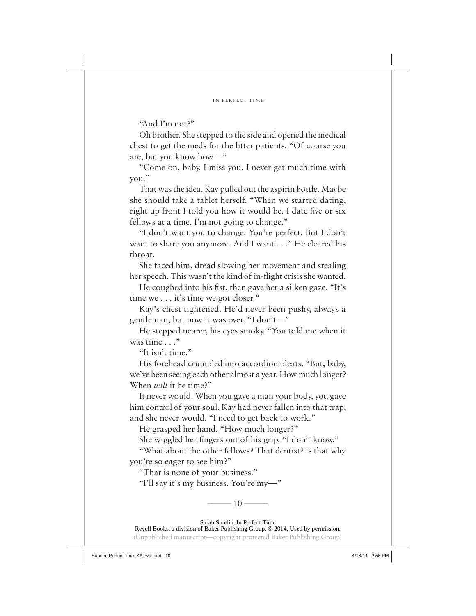"And I'm not?"

Oh brother. She stepped to the side and opened the medical chest to get the meds for the litter patients. "Of course you are, but you know how—"

"Come on, baby. I miss you. I never get much time with you."

That was the idea. Kay pulled out the aspirin bottle. Maybe she should take a tablet herself. "When we started dating, right up front I told you how it would be. I date five or six fellows at a time. I'm not going to change."

"I don't want you to change. You're perfect. But I don't want to share you anymore. And I want . . ." He cleared his throat.

She faced him, dread slowing her movement and stealing her speech. This wasn't the kind of in-flight crisis she wanted.

He coughed into his fist, then gave her a silken gaze. "It's time we . . . it's time we got closer."

Kay's chest tightened. He'd never been pushy, always a gentleman, but now it was over. "I don't—"

He stepped nearer, his eyes smoky. "You told me when it was time . . . "

"It isn't time."

His forehead crumpled into accordion pleats. "But, baby, we've been seeing each other almost a year. How much longer? When *will* it be time?"

It never would. When you gave a man your body, you gave him control of your soul. Kay had never fallen into that trap, and she never would. "I need to get back to work."

He grasped her hand. "How much longer?"

She wiggled her fingers out of his grip. "I don't know."

"What about the other fellows? That dentist? Is that why you're so eager to see him?"

"That is none of your business."

"I'll say it's my business. You're my—"



Sarah Sundin, In Perfect Time

Revell Books, a division of Baker Publishing Group, © 2014. Used by permission.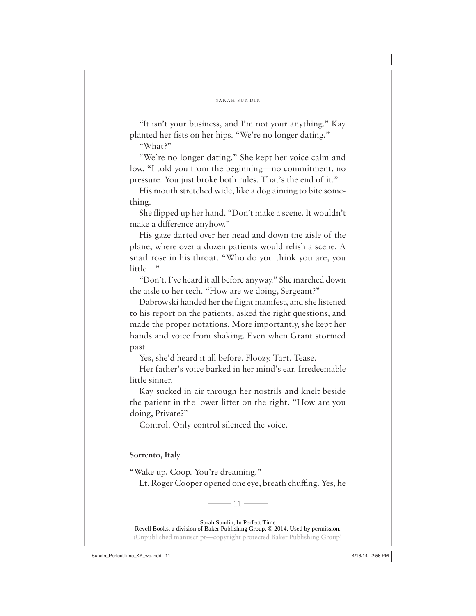"It isn't your business, and I'm not your anything." Kay planted her fists on her hips. "We're no longer dating."

"What?"

"We're no longer dating." She kept her voice calm and low. "I told you from the beginning—no commitment, no pressure. You just broke both rules. That's the end of it."

His mouth stretched wide, like a dog aiming to bite something.

She flipped up her hand. "Don't make a scene. It wouldn't make a difference anyhow."

His gaze darted over her head and down the aisle of the plane, where over a dozen patients would relish a scene. A snarl rose in his throat. "Who do you think you are, you little—"

"Don't. I've heard it all before anyway." She marched down the aisle to her tech. "How are we doing, Sergeant?"

Dabrowski handed her the flight manifest, and she listened to his report on the patients, asked the right questions, and made the proper notations. More importantly, she kept her hands and voice from shaking. Even when Grant stormed past.

Yes, she'd heard it all before. Floozy. Tart. Tease.

Her father's voice barked in her mind's ear. Irredeemable little sinner.

Kay sucked in air through her nostrils and knelt beside the patient in the lower litter on the right. "How are you doing, Private?"

Control. Only control silenced the voice.

## **Sorrento, Italy**

"Wake up, Coop. You're dreaming."

Lt. Roger Cooper opened one eye, breath chuffing. Yes, he

 $=11$ 

Sarah Sundin, In Perfect Time

Revell Books, a division of Baker Publishing Group, © 2014. Used by permission.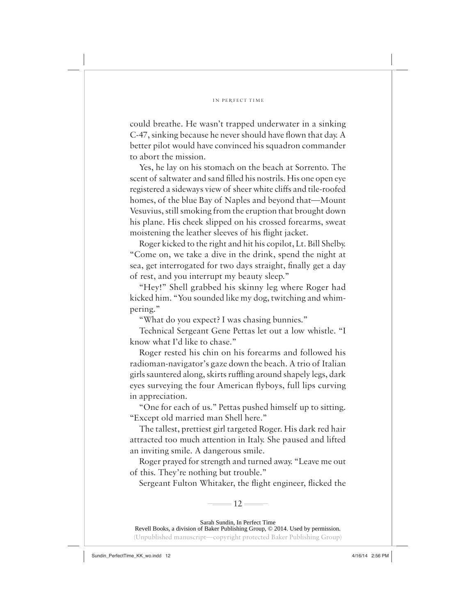could breathe. He wasn't trapped underwater in a sinking C-47, sinking because he never should have flown that day. A better pilot would have convinced his squadron commander to abort the mission.

Yes, he lay on his stomach on the beach at Sorrento. The scent of saltwater and sand filled his nostrils. His one open eye registered a sideways view of sheer white cliffs and tile-roofed homes, of the blue Bay of Naples and beyond that—Mount Vesuvius, still smoking from the eruption that brought down his plane. His cheek slipped on his crossed forearms, sweat moistening the leather sleeves of his flight jacket.

Roger kicked to the right and hit his copilot, Lt. Bill Shelby. "Come on, we take a dive in the drink, spend the night at sea, get interrogated for two days straight, finally get a day of rest, and you interrupt my beauty sleep."

"Hey!" Shell grabbed his skinny leg where Roger had kicked him. "You sounded like my dog, twitching and whimpering."

"What do you expect? I was chasing bunnies."

Technical Sergeant Gene Pettas let out a low whistle. "I know what I'd like to chase."

Roger rested his chin on his forearms and followed his radioman-navigator's gaze down the beach. A trio of Italian girls sauntered along, skirts ruffling around shapely legs, dark eyes surveying the four American flyboys, full lips curving in appreciation.

"One for each of us." Pettas pushed himself up to sitting. "Except old married man Shell here."

The tallest, prettiest girl targeted Roger. His dark red hair attracted too much attention in Italy. She paused and lifted an inviting smile. A dangerous smile.

Roger prayed for strength and turned away. "Leave me out of this. They're nothing but trouble."

Sergeant Fulton Whitaker, the flight engineer, flicked the

 $=12$   $-$ 

Sarah Sundin, In Perfect Time

Revell Books, a division of Baker Publishing Group, © 2014. Used by permission.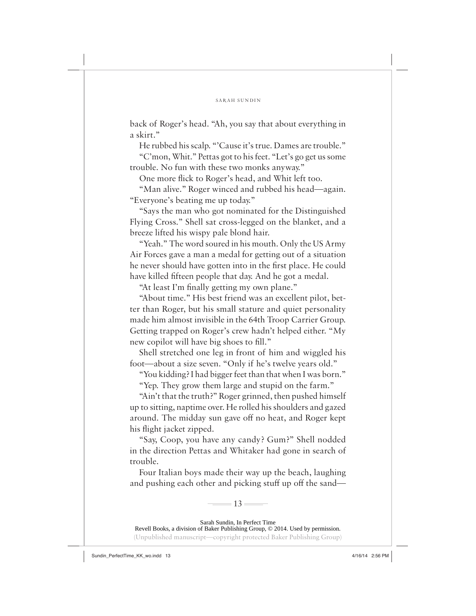back of Roger's head. "Ah, you say that about everything in a skirt."

He rubbed his scalp. "'Cause it's true. Dames are trouble."

"C'mon, Whit." Pettas got to his feet. "Let's go get us some trouble. No fun with these two monks anyway."

One more flick to Roger's head, and Whit left too.

"Man alive." Roger winced and rubbed his head—again. "Everyone's beating me up today."

"Says the man who got nominated for the Distinguished Flying Cross." Shell sat cross-legged on the blanket, and a breeze lifted his wispy pale blond hair.

"Yeah." The word soured in his mouth. Only the US Army Air Forces gave a man a medal for getting out of a situation he never should have gotten into in the first place. He could have killed fifteen people that day. And he got a medal.

"At least I'm finally getting my own plane."

"About time." His best friend was an excellent pilot, better than Roger, but his small stature and quiet personality made him almost invisible in the 64th Troop Carrier Group. Getting trapped on Roger's crew hadn't helped either. "My new copilot will have big shoes to fill."

Shell stretched one leg in front of him and wiggled his foot—about a size seven. "Only if he's twelve years old."

"You kidding? I had bigger feet than that when I was born."

"Yep. They grow them large and stupid on the farm."

"Ain't that the truth?" Roger grinned, then pushed himself up to sitting, naptime over. He rolled his shoulders and gazed around. The midday sun gave off no heat, and Roger kept his flight jacket zipped.

"Say, Coop, you have any candy? Gum?" Shell nodded in the direction Pettas and Whitaker had gone in search of trouble.

Four Italian boys made their way up the beach, laughing and pushing each other and picking stuff up off the sand—

 $-13$ 

Sarah Sundin, In Perfect Time

Revell Books, a division of Baker Publishing Group, © 2014. Used by permission.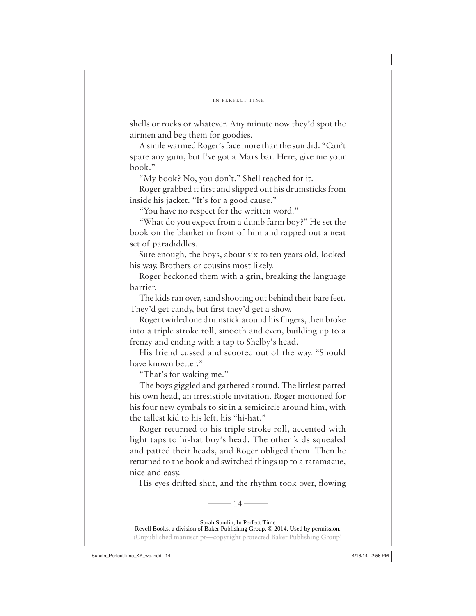shells or rocks or whatever. Any minute now they'd spot the airmen and beg them for goodies.

A smile warmed Roger's face more than the sun did. "Can't spare any gum, but I've got a Mars bar. Here, give me your book."

"My book? No, you don't." Shell reached for it.

Roger grabbed it first and slipped out his drumsticks from inside his jacket. "It's for a good cause."

"You have no respect for the written word."

"What do you expect from a dumb farm boy?" He set the book on the blanket in front of him and rapped out a neat set of paradiddles.

Sure enough, the boys, about six to ten years old, looked his way. Brothers or cousins most likely.

Roger beckoned them with a grin, breaking the language barrier.

The kids ran over, sand shooting out behind their bare feet. They'd get candy, but first they'd get a show.

Roger twirled one drumstick around his fingers, then broke into a triple stroke roll, smooth and even, building up to a frenzy and ending with a tap to Shelby's head.

His friend cussed and scooted out of the way. "Should have known better."

"That's for waking me."

The boys giggled and gathered around. The littlest patted his own head, an irresistible invitation. Roger motioned for his four new cymbals to sit in a semicircle around him, with the tallest kid to his left, his "hi-hat."

Roger returned to his triple stroke roll, accented with light taps to hi-hat boy's head. The other kids squealed and patted their heads, and Roger obliged them. Then he returned to the book and switched things up to a ratamacue, nice and easy.

His eyes drifted shut, and the rhythm took over, flowing

 $=14$   $-$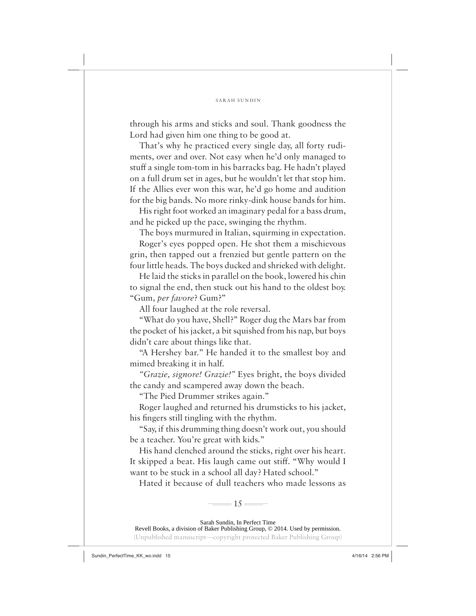through his arms and sticks and soul. Thank goodness the Lord had given him one thing to be good at.

That's why he practiced every single day, all forty rudiments, over and over. Not easy when he'd only managed to stuff a single tom-tom in his barracks bag. He hadn't played on a full drum set in ages, but he wouldn't let that stop him. If the Allies ever won this war, he'd go home and audition for the big bands. No more rinky-dink house bands for him.

His right foot worked an imaginary pedal for a bass drum, and he picked up the pace, swinging the rhythm.

The boys murmured in Italian, squirming in expectation.

Roger's eyes popped open. He shot them a mischievous grin, then tapped out a frenzied but gentle pattern on the four little heads. The boys ducked and shrieked with delight.

He laid the sticks in parallel on the book, lowered his chin to signal the end, then stuck out his hand to the oldest boy. "Gum, *per favore*? Gum?"

All four laughed at the role reversal.

"What do you have, Shell?" Roger dug the Mars bar from the pocket of his jacket, a bit squished from his nap, but boys didn't care about things like that.

"A Hershey bar." He handed it to the smallest boy and mimed breaking it in half.

*"Grazie, signore! Grazie!"* Eyes bright, the boys divided the candy and scampered away down the beach.

"The Pied Drummer strikes again."

Roger laughed and returned his drumsticks to his jacket, his fingers still tingling with the rhythm.

"Say, if this drumming thing doesn't work out, you should be a teacher. You're great with kids."

His hand clenched around the sticks, right over his heart. It skipped a beat. His laugh came out stiff. "Why would I want to be stuck in a school all day? Hated school."

Hated it because of dull teachers who made lessons as

 $=15$   $-$ 

Sarah Sundin, In Perfect Time

Revell Books, a division of Baker Publishing Group, © 2014. Used by permission.